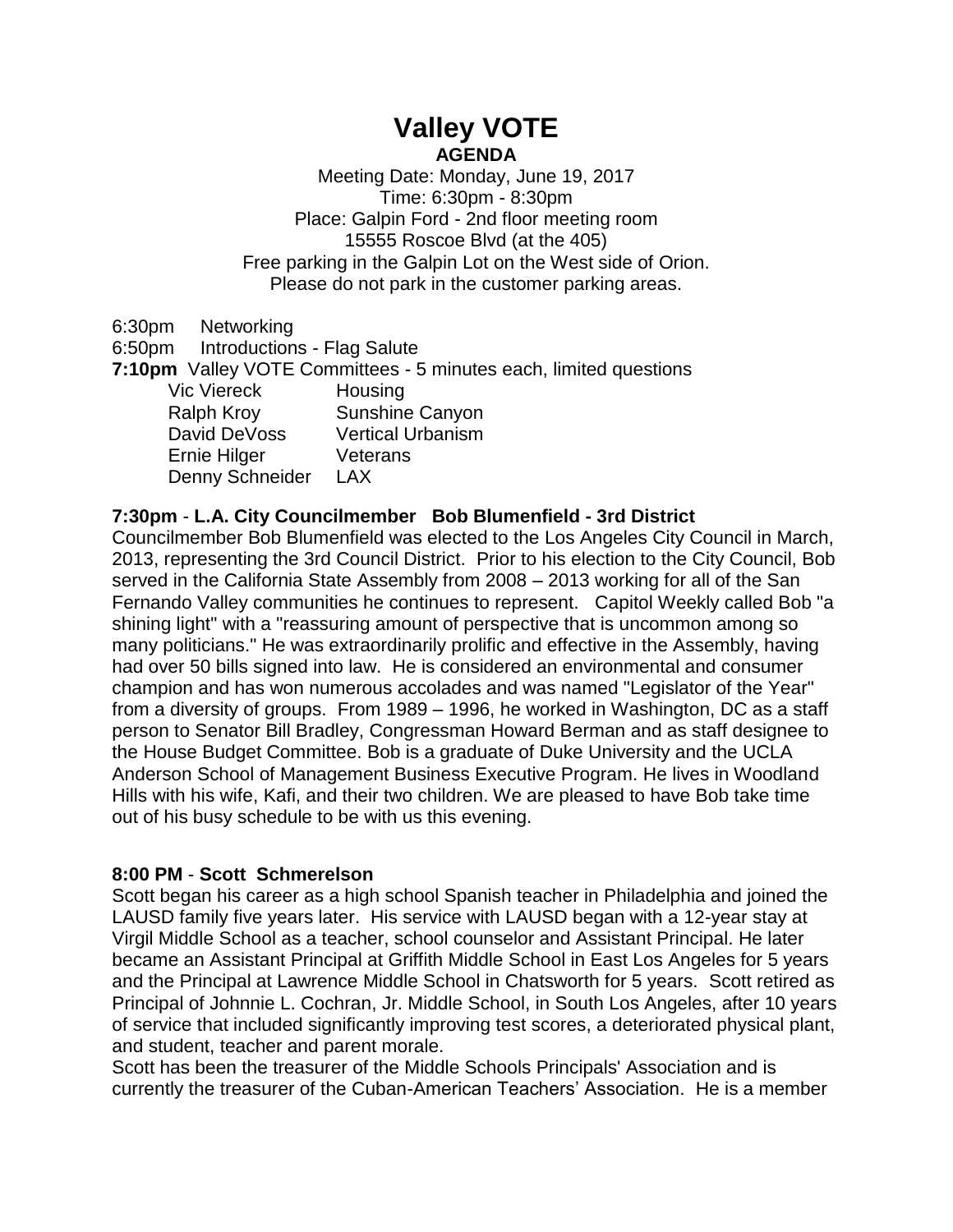# **Valley VOTE AGENDA**

Meeting Date: Monday, June 19, 2017 Time: 6:30pm - 8:30pm Place: Galpin Ford - 2nd floor meeting room 15555 Roscoe Blvd (at the 405) Free parking in the Galpin Lot on the West side of Orion. Please do not park in the customer parking areas.

6:30pm Networking 6:50pm Introductions - Flag Salute **7:10pm** Valley VOTE Committees - 5 minutes each, limited questions Vic Viereck Housing Ralph Kroy Sunshine Canyon David DeVoss Vertical Urbanism Ernie Hilger Veterans Denny Schneider LAX

## **7:30pm** - **L.A. City Councilmember Bob Blumenfield - 3rd District**

Councilmember Bob Blumenfield was elected to the Los Angeles City Council in March, 2013, representing the 3rd Council District. Prior to his election to the City Council, Bob served in the California State Assembly from 2008 – 2013 working for all of the San Fernando Valley communities he continues to represent. Capitol Weekly called Bob "a shining light" with a "reassuring amount of perspective that is uncommon among so many politicians." He was extraordinarily prolific and effective in the Assembly, having had over 50 bills signed into law. He is considered an environmental and consumer champion and has won numerous accolades and was named "Legislator of the Year" from a diversity of groups. From 1989 – 1996, he worked in Washington, DC as a staff person to Senator Bill Bradley, Congressman Howard Berman and as staff designee to the House Budget Committee. Bob is a graduate of Duke University and the UCLA Anderson School of Management Business Executive Program. He lives in Woodland Hills with his wife, Kafi, and their two children. We are pleased to have Bob take time out of his busy schedule to be with us this evening.

## **8:00 PM** - **Scott Schmerelson**

Scott began his career as a high school Spanish teacher in Philadelphia and joined the LAUSD family five years later. His service with LAUSD began with a 12-year stay at Virgil Middle School as a teacher, school counselor and Assistant Principal. He later became an Assistant Principal at Griffith Middle School in East Los Angeles for 5 years and the Principal at Lawrence Middle School in Chatsworth for 5 years. Scott retired as Principal of Johnnie L. Cochran, Jr. Middle School, in South Los Angeles, after 10 years of service that included significantly improving test scores, a deteriorated physical plant, and student, teacher and parent morale.

Scott has been the treasurer of the Middle Schools Principals' Association and is currently the treasurer of the Cuban-American Teachers' Association. He is a member